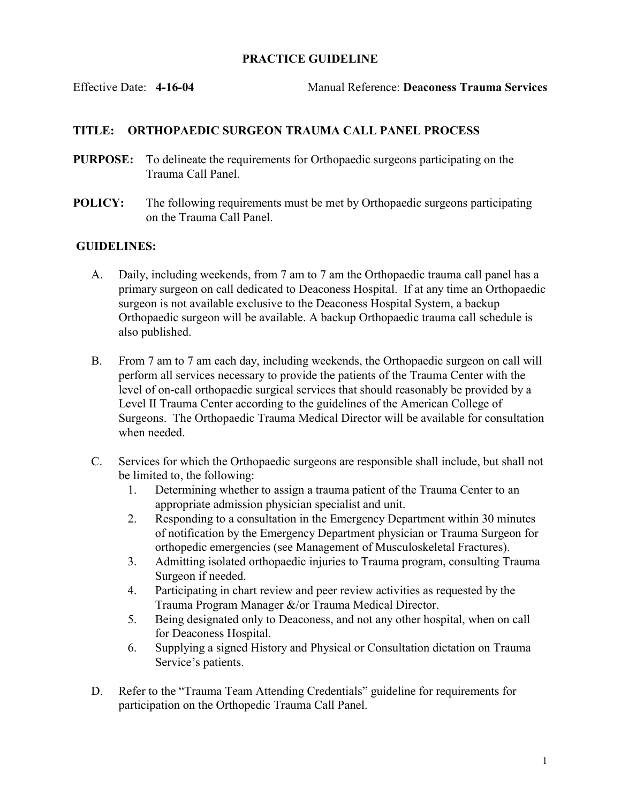## PRACTICE GUIDELINE

Effective Date: 4-16-04 Manual Reference: Deaconess Trauma Services

## TITLE: ORTHOPAEDIC SURGEON TRAUMA CALL PANEL PROCESS

- PURPOSE: To delineate the requirements for Orthopaedic surgeons participating on the Trauma Call Panel.
- POLICY: The following requirements must be met by Orthopaedic surgeons participating on the Trauma Call Panel.

## GUIDELINES:

- A. Daily, including weekends, from 7 am to 7 am the Orthopaedic trauma call panel has a primary surgeon on call dedicated to Deaconess Hospital. If at any time an Orthopaedic surgeon is not available exclusive to the Deaconess Hospital System, a backup Orthopaedic surgeon will be available. A backup Orthopaedic trauma call schedule is also published.
- B. From 7 am to 7 am each day, including weekends, the Orthopaedic surgeon on call will perform all services necessary to provide the patients of the Trauma Center with the level of on-call orthopaedic surgical services that should reasonably be provided by a Level II Trauma Center according to the guidelines of the American College of Surgeons. The Orthopaedic Trauma Medical Director will be available for consultation when needed.
- C. Services for which the Orthopaedic surgeons are responsible shall include, but shall not be limited to, the following:
	- 1. Determining whether to assign a trauma patient of the Trauma Center to an appropriate admission physician specialist and unit.
	- 2. Responding to a consultation in the Emergency Department within 30 minutes of notification by the Emergency Department physician or Trauma Surgeon for orthopedic emergencies (see Management of Musculoskeletal Fractures).
	- 3. Admitting isolated orthopaedic injuries to Trauma program, consulting Trauma Surgeon if needed.
	- 4. Participating in chart review and peer review activities as requested by the Trauma Program Manager &/or Trauma Medical Director.
	- 5. Being designated only to Deaconess, and not any other hospital, when on call for Deaconess Hospital.
	- 6. Supplying a signed History and Physical or Consultation dictation on Trauma Service's patients.
- D. Refer to the "Trauma Team Attending Credentials" guideline for requirements for participation on the Orthopedic Trauma Call Panel.